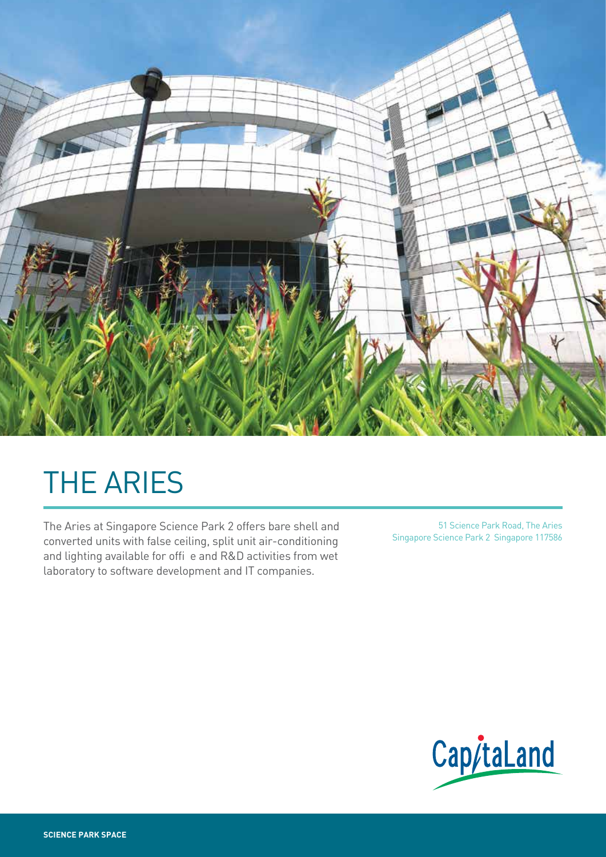

# THE ARIES

The Aries at Singapore Science Park 2 offers bare shell and converted units with false ceiling, split unit air-conditioning and lighting available for offi e and R&D activities from wet laboratory to software development and IT companies.

51 Science Park Road, The Aries Singapore Science Park 2 Singapore 117586